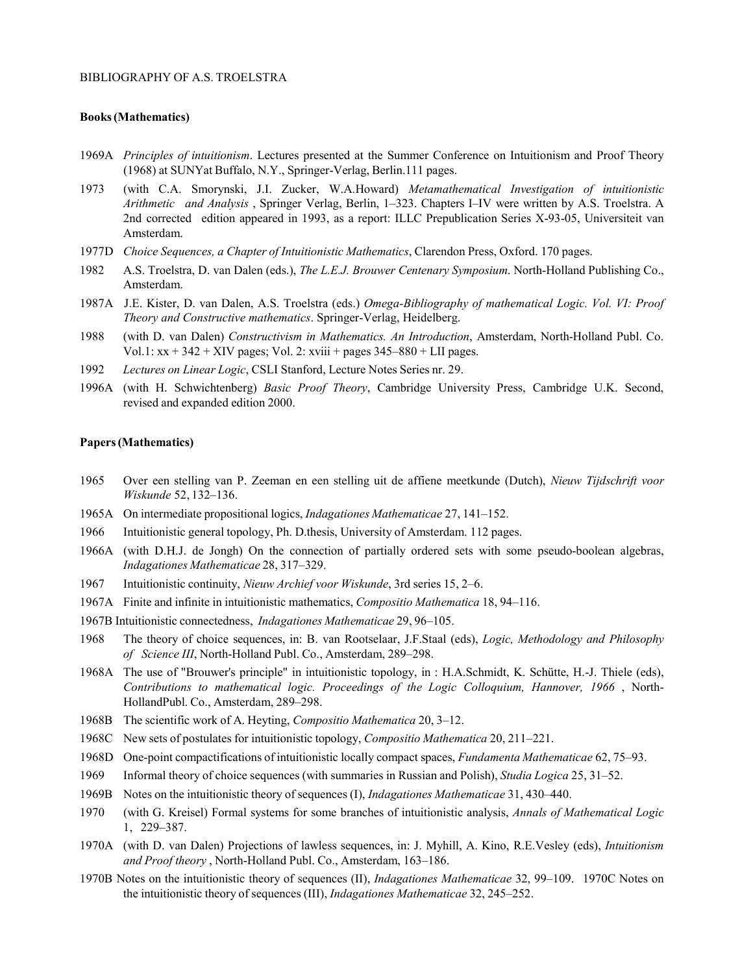## BIBLIOGRAPHY OF A.S. TROELSTRA

## **Books(Mathematics)**

- 1969A *Principles of intuitionism*. Lectures presented at the Summer Conference on Intuitionism and Proof Theory (1968) at SUNYat Buffalo, N.Y., Springer-Verlag, Berlin.111 pages.
- 1973 (with C.A. Smorynski, J.I. Zucker, W.A.Howard) *Metamathematical Investigation of intuitionistic Arithmetic and Analysis* , Springer Verlag, Berlin, 1–323. Chapters I–IV were written by A.S. Troelstra. A 2nd corrected edition appeared in 1993, as a report: ILLC Prepublication Series X-93-05, Universiteit van Amsterdam.
- 1977D *Choice Sequences, a Chapter of Intuitionistic Mathematics*, Clarendon Press, Oxford. 170 pages.
- 1982 A.S. Troelstra, D. van Dalen (eds.), *The L.E.J. Brouwer Centenary Symposium*. North-Holland Publishing Co., Amsterdam.
- 1987A J.E. Kister, D. van Dalen, A.S. Troelstra (eds.) *Omega-Bibliography of mathematical Logic. Vol. VI: Proof Theory and Constructive mathematics*. Springer-Verlag, Heidelberg.
- 1988 (with D. van Dalen) *Constructivism in Mathematics. An Introduction*, Amsterdam, North-Holland Publ. Co. Vol.1:  $xx + 342 + XIV$  pages; Vol. 2:  $xviii + pages$  345–880 + LII pages.
- 1992 *Lectures on Linear Logic*, CSLI Stanford, Lecture Notes Series nr. 29.
- 1996A (with H. Schwichtenberg) *Basic Proof Theory*, Cambridge University Press, Cambridge U.K. Second, revised and expanded edition 2000.

## **Papers(Mathematics)**

- 1965 Over een stelling van P. Zeeman en een stelling uit de affiene meetkunde (Dutch), *Nieuw Tijdschrift voor Wiskunde* 52, 132–136.
- 1965A On intermediate propositional logics, *Indagationes Mathematicae* 27, 141–152.
- 1966 Intuitionistic general topology, Ph. D.thesis, University of Amsterdam. 112 pages.
- 1966A (with D.H.J. de Jongh) On the connection of partially ordered sets with some pseudo-boolean algebras, *Indagationes Mathematicae* 28, 317–329.
- 1967 Intuitionistic continuity, *Nieuw Archief voor Wiskunde*, 3rd series 15, 2–6.
- 1967A Finite and infinite in intuitionistic mathematics, *Compositio Mathematica* 18, 94–116.
- 1967B Intuitionistic connectedness, *Indagationes Mathematicae* 29, 96–105.
- 1968 The theory of choice sequences, in: B. van Rootselaar, J.F.Staal (eds), *Logic, Methodology and Philosophy of Science III*, North-Holland Publ. Co., Amsterdam, 289–298.
- 1968A The use of "Brouwer's principle" in intuitionistic topology, in : H.A.Schmidt, K. Schütte, H.-J. Thiele (eds), *Contributions to mathematical logic. Proceedings of the Logic Colloquium, Hannover, 1966* , North-HollandPubl. Co., Amsterdam, 289–298.
- 1968B The scientific work of A. Heyting, *Compositio Mathematica* 20, 3–12.
- 1968C New sets of postulates for intuitionistic topology, *Compositio Mathematica* 20, 211–221.
- 1968D One-point compactifications of intuitionistic locally compact spaces, *Fundamenta Mathematicae* 62, 75–93.
- 1969 Informal theory of choice sequences (with summaries in Russian and Polish), *Studia Logica* 25, 31–52.
- 1969B Notes on the intuitionistic theory of sequences (I), *Indagationes Mathematicae* 31, 430–440.
- 1970 (with G. Kreisel) Formal systems for some branches of intuitionistic analysis, *Annals of Mathematical Logic* 1, 229–387.
- 1970A (with D. van Dalen) Projections of lawless sequences, in: J. Myhill, A. Kino, R.E.Vesley (eds), *Intuitionism and Proof theory* , North-Holland Publ. Co., Amsterdam, 163–186.
- 1970B Notes on the intuitionistic theory of sequences (II), *Indagationes Mathematicae* 32, 99–109. 1970C Notes on the intuitionistic theory of sequences (III), *Indagationes Mathematicae* 32, 245–252.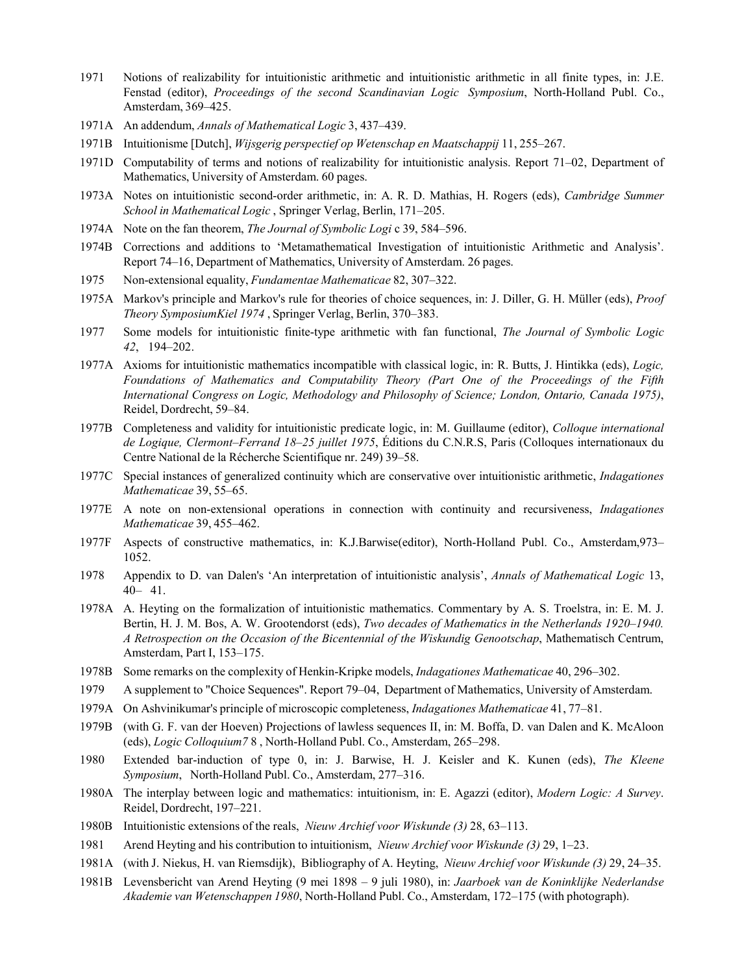- 1971 Notions of realizability for intuitionistic arithmetic and intuitionistic arithmetic in all finite types, in: J.E. Fenstad (editor), *Proceedings of the second Scandinavian Logic Symposium*, North-Holland Publ. Co., Amsterdam, 369–425.
- 1971A An addendum, *Annals of Mathematical Logic* 3, 437–439.
- 1971B Intuitionisme [Dutch], *Wijsgerig perspectief op Wetenschap en Maatschappij* 11, 255–267.
- 1971D Computability of terms and notions of realizability for intuitionistic analysis. Report 71–02, Department of Mathematics, University of Amsterdam. 60 pages.
- 1973A Notes on intuitionistic second-order arithmetic, in: A. R. D. Mathias, H. Rogers (eds), *Cambridge Summer School in Mathematical Logic* , Springer Verlag, Berlin, 171–205.
- 1974A Note on the fan theorem, *The Journal of Symbolic Logi* c 39, 584–596.
- 1974B Corrections and additions to 'Metamathematical Investigation of intuitionistic Arithmetic and Analysis'. Report 74–16, Department of Mathematics, University of Amsterdam. 26 pages.
- 1975 Non-extensional equality, *Fundamentae Mathematicae* 82, 307–322.
- 1975A Markov's principle and Markov's rule for theories of choice sequences, in: J. Diller, G. H. Müller (eds), *Proof Theory SymposiumKiel 1974* , Springer Verlag, Berlin, 370–383.
- 1977 Some models for intuitionistic finite-type arithmetic with fan functional, *The Journal of Symbolic Logic 42*, 194–202.
- 1977A Axioms for intuitionistic mathematics incompatible with classical logic, in: R. Butts, J. Hintikka (eds), *Logic, Foundations of Mathematics and Computability Theory (Part One of the Proceedings of the Fifth International Congress on Logic, Methodology and Philosophy of Science; London, Ontario, Canada 1975)*, Reidel, Dordrecht, 59–84.
- 1977B Completeness and validity for intuitionistic predicate logic, in: M. Guillaume (editor), *Colloque international de Logique, Clermont–Ferrand 18–25 juillet 1975*, Éditions du C.N.R.S, Paris (Colloques internationaux du Centre National de la Récherche Scientifique nr. 249) 39–58.
- 1977C Special instances of generalized continuity which are conservative over intuitionistic arithmetic, *Indagationes Mathematicae* 39, 55–65.
- 1977E A note on non-extensional operations in connection with continuity and recursiveness, *Indagationes Mathematicae* 39, 455–462.
- 1977F Aspects of constructive mathematics, in: K.J.Barwise(editor), North-Holland Publ. Co., Amsterdam,973– 1052.
- 1978 Appendix to D. van Dalen's 'An interpretation of intuitionistic analysis', *Annals of Mathematical Logic* 13, 40– 41.
- 1978A A. Heyting on the formalization of intuitionistic mathematics. Commentary by A. S. Troelstra, in: E. M. J. Bertin, H. J. M. Bos, A. W. Grootendorst (eds), *Two decades of Mathematics in the Netherlands 1920–1940. A Retrospection on the Occasion of the Bicentennial of the Wiskundig Genootschap*, Mathematisch Centrum, Amsterdam, Part I, 153–175.
- 1978B Some remarks on the complexity of Henkin-Kripke models, *Indagationes Mathematicae* 40, 296–302.
- 1979 A supplement to "Choice Sequences". Report 79–04, Department of Mathematics, University of Amsterdam.
- 1979A On Ashvinikumar's principle of microscopic completeness, *Indagationes Mathematicae* 41, 77–81.
- 1979B (with G. F. van der Hoeven) Projections of lawless sequences II, in: M. Boffa, D. van Dalen and K. McAloon (eds), *Logic Colloquium7* 8 , North-Holland Publ. Co., Amsterdam, 265–298.
- 1980 Extended bar-induction of type 0, in: J. Barwise, H. J. Keisler and K. Kunen (eds), *The Kleene Symposium*, North-Holland Publ. Co., Amsterdam, 277–316.
- 1980A The interplay between logic and mathematics: intuitionism, in: E. Agazzi (editor), *Modern Logic: A Survey*. Reidel, Dordrecht, 197–221.
- 1980B Intuitionistic extensions of the reals, *Nieuw Archief voor Wiskunde (3)* 28, 63–113.
- 1981 Arend Heyting and his contribution to intuitionism, *Nieuw Archief voor Wiskunde (3)* 29, 1–23.
- 1981A (with J. Niekus, H. van Riemsdijk), Bibliography of A. Heyting, *Nieuw Archief voor Wiskunde (3)* 29, 24–35.
- 1981B Levensbericht van Arend Heyting (9 mei 1898 9 juli 1980), in: *Jaarboek van de Koninklijke Nederlandse Akademie van Wetenschappen 1980*, North-Holland Publ. Co., Amsterdam, 172–175 (with photograph).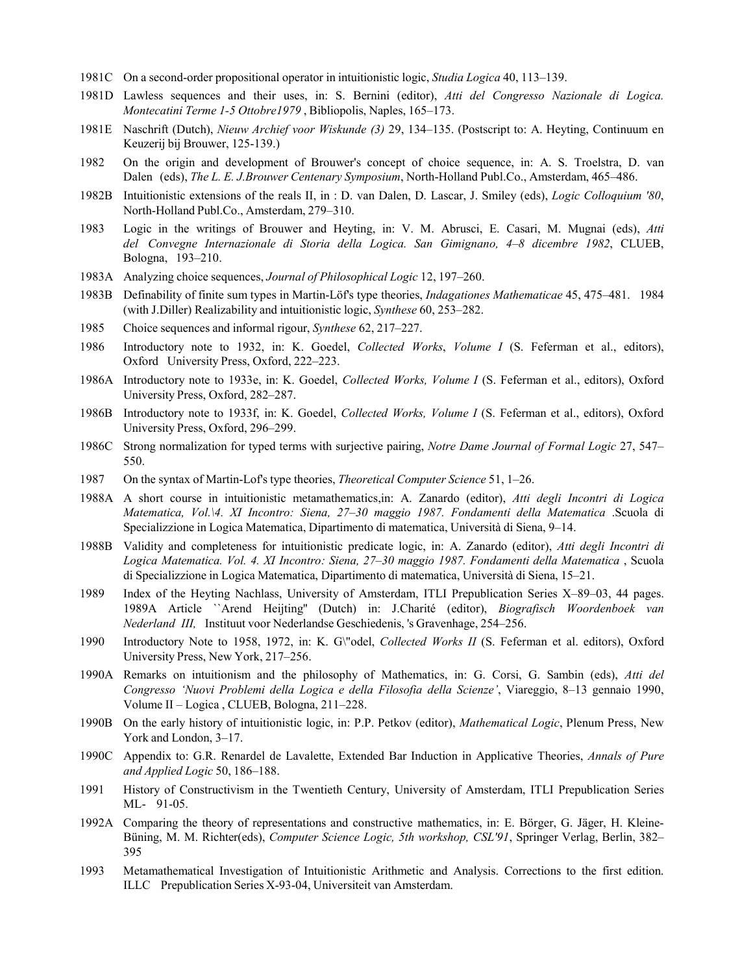- 1981C On a second-order propositional operator in intuitionistic logic, *Studia Logica* 40, 113–139.
- 1981D Lawless sequences and their uses, in: S. Bernini (editor), *Atti del Congresso Nazionale di Logica. Montecatini Terme 1-5 Ottobre1979* , Bibliopolis, Naples, 165–173.
- 1981E Naschrift (Dutch), *Nieuw Archief voor Wiskunde (3)* 29, 134–135. (Postscript to: A. Heyting, Continuum en Keuzerij bij Brouwer, 125-139.)
- 1982 On the origin and development of Brouwer's concept of choice sequence, in: A. S. Troelstra, D. van Dalen (eds), *The L. E. J.Brouwer Centenary Symposium*, North-Holland Publ.Co., Amsterdam, 465–486.
- 1982B Intuitionistic extensions of the reals II, in : D. van Dalen, D. Lascar, J. Smiley (eds), *Logic Colloquium '80*, North-Holland Publ.Co., Amsterdam, 279–310.
- 1983 Logic in the writings of Brouwer and Heyting, in: V. M. Abrusci, E. Casari, M. Mugnai (eds), *Atti del Convegne Internazionale di Storia della Logica. San Gimignano, 4–8 dicembre 1982*, CLUEB, Bologna, 193–210.
- 1983A Analyzing choice sequences, *Journal of Philosophical Logic* 12, 197–260.
- 1983B Definability of finite sum types in Martin-Löf's type theories, *Indagationes Mathematicae* 45, 475–481. 1984 (with J.Diller) Realizability and intuitionistic logic, *Synthese* 60, 253–282.
- 1985 Choice sequences and informal rigour, *Synthese* 62, 217–227.
- 1986 Introductory note to 1932, in: K. Goedel, *Collected Works*, *Volume I* (S. Feferman et al., editors), Oxford University Press, Oxford, 222–223.
- 1986A Introductory note to 1933e, in: K. Goedel, *Collected Works, Volume I* (S. Feferman et al., editors), Oxford University Press, Oxford, 282–287.
- 1986B Introductory note to 1933f, in: K. Goedel, *Collected Works, Volume I* (S. Feferman et al., editors), Oxford University Press, Oxford, 296–299.
- 1986C Strong normalization for typed terms with surjective pairing, *Notre Dame Journal of Formal Logic* 27, 547– 550.
- 1987 On the syntax of Martin-Lof's type theories, *Theoretical Computer Science* 51, 1–26.
- 1988A A short course in intuitionistic metamathematics,in: A. Zanardo (editor), *Atti degli Incontri di Logica Matematica, Vol.\4. XI Incontro: Siena, 27–30 maggio 1987. Fondamenti della Matematica* .Scuola di Specializzione in Logica Matematica, Dipartimento di matematica, Università di Siena, 9–14.
- 1988B Validity and completeness for intuitionistic predicate logic, in: A. Zanardo (editor), *Atti degli Incontri di Logica Matematica. Vol. 4. XI Incontro: Siena, 27–30 maggio 1987. Fondamenti della Matematica* , Scuola di Specializzione in Logica Matematica, Dipartimento di matematica, Università di Siena, 15–21.
- 1989 Index of the Heyting Nachlass, University of Amsterdam, ITLI Prepublication Series X–89–03, 44 pages. 1989A Article ``Arend Heijting'' (Dutch) in: J.Charité (editor), *Biografisch Woordenboek van Nederland III,* Instituut voor Nederlandse Geschiedenis, 's Gravenhage, 254–256.
- 1990 Introductory Note to 1958, 1972, in: K. G\"odel, *Collected Works II* (S. Feferman et al. editors), Oxford University Press, New York, 217–256.
- 1990A Remarks on intuitionism and the philosophy of Mathematics, in: G. Corsi, G. Sambin (eds), *Atti del Congresso 'Nuovi Problemi della Logica e della Filosofia della Scienze'*, Viareggio, 8–13 gennaio 1990, Volume II – Logica , CLUEB, Bologna, 211–228.
- 1990B On the early history of intuitionistic logic, in: P.P. Petkov (editor), *Mathematical Logic*, Plenum Press, New York and London, 3–17.
- 1990C Appendix to: G.R. Renardel de Lavalette, Extended Bar Induction in Applicative Theories, *Annals of Pure and Applied Logic* 50, 186–188.
- 1991 History of Constructivism in the Twentieth Century, University of Amsterdam, ITLI Prepublication Series ML- 91-05.
- 1992A Comparing the theory of representations and constructive mathematics, in: E. Börger, G. Jäger, H. Kleine-Büning, M. M. Richter(eds), *Computer Science Logic, 5th workshop, CSL'91*, Springer Verlag, Berlin, 382– 395
- 1993 Metamathematical Investigation of Intuitionistic Arithmetic and Analysis. Corrections to the first edition. ILLC Prepublication Series X-93-04, Universiteit van Amsterdam.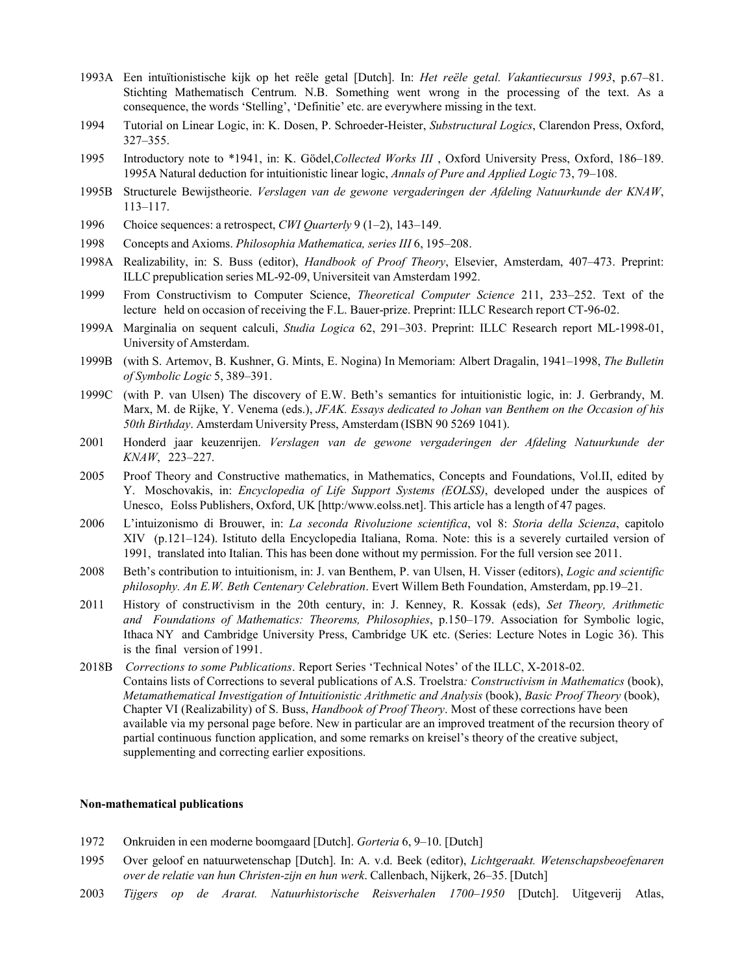- 1993A Een intuïtionistische kijk op het reële getal [Dutch]. In: *Het reële getal. Vakantiecursus 1993*, p.67–81. Stichting Mathematisch Centrum. N.B. Something went wrong in the processing of the text. As a consequence, the words 'Stelling', 'Definitie' etc. are everywhere missing in the text.
- 1994 Tutorial on Linear Logic, in: K. Dosen, P. Schroeder-Heister, *Substructural Logics*, Clarendon Press, Oxford, 327–355.
- 1995 Introductory note to \*1941, in: K. Gödel,*Collected Works III* , Oxford University Press, Oxford, 186–189. 1995A Natural deduction for intuitionistic linear logic, *Annals of Pure and Applied Logic* 73, 79–108.
- 1995B Structurele Bewijstheorie. *Verslagen van de gewone vergaderingen der Afdeling Natuurkunde der KNAW*, 113–117.
- 1996 Choice sequences: a retrospect, *CWI Quarterly* 9 (1–2), 143–149.
- 1998 Concepts and Axioms. *Philosophia Mathematica, series III* 6, 195–208.
- 1998A Realizability, in: S. Buss (editor), *Handbook of Proof Theory*, Elsevier, Amsterdam, 407–473. Preprint: ILLC prepublication series ML-92-09, Universiteit van Amsterdam 1992.
- 1999 From Constructivism to Computer Science, *Theoretical Computer Science* 211, 233–252. Text of the lecture held on occasion of receiving the F.L. Bauer-prize. Preprint: ILLC Research report CT-96-02.
- 1999A Marginalia on sequent calculi, *Studia Logica* 62, 291–303. Preprint: ILLC Research report ML-1998-01, University of Amsterdam.
- 1999B (with S. Artemov, B. Kushner, G. Mints, E. Nogina) In Memoriam: Albert Dragalin, 1941–1998, *The Bulletin of Symbolic Logic* 5, 389–391.
- 1999C (with P. van Ulsen) The discovery of E.W. Beth's semantics for intuitionistic logic, in: J. Gerbrandy, M. Marx, M. de Rijke, Y. Venema (eds.), *JFAK. Essays dedicated to Johan van Benthem on the Occasion of his 50th Birthday*. Amsterdam University Press, Amsterdam (ISBN 90 5269 1041).
- 2001 Honderd jaar keuzenrijen. *Verslagen van de gewone vergaderingen der Afdeling Natuurkunde der KNAW*, 223–227.
- 2005 Proof Theory and Constructive mathematics, in Mathematics, Concepts and Foundations, Vol.II, edited by Y. Moschovakis, in: *Encyclopedia of Life Support Systems (EOLSS)*, developed under the auspices of Unesco, Eolss Publishers, Oxford, UK [http:[/www.eolss.net\].](http://www.eolss.net/) This article has a length of 47 pages.
- 2006 L'intuizonismo di Brouwer, in: *La seconda Rivoluzione scientifica*, vol 8: *Storia della Scienza*, capitolo XIV (p.121–124). Istituto della Encyclopedia Italiana, Roma. Note: this is a severely curtailed version of 1991, translated into Italian. This has been done without my permission. For the full version see 2011.
- 2008 Beth's contribution to intuitionism, in: J. van Benthem, P. van Ulsen, H. Visser (editors), *Logic and scientific philosophy. An E.W. Beth Centenary Celebration*. Evert Willem Beth Foundation, Amsterdam, pp.19–21.
- 2011 History of constructivism in the 20th century, in: J. Kenney, R. Kossak (eds), *Set Theory, Arithmetic and Foundations of Mathematics: Theorems, Philosophies*, p.150–179. Association for Symbolic logic, Ithaca NY and Cambridge University Press, Cambridge UK etc. (Series: Lecture Notes in Logic 36). This is the final version of 1991.
- 2018B *Corrections to some Publications*. Report Series 'Technical Notes' of the ILLC, X-2018-02. Contains lists of Corrections to several publications of A.S. Troelstra*: Constructivism in Mathematics* (book), *Metamathematical Investigation of Intuitionistic Arithmetic and Analysis* (book), *Basic Proof Theory* (book), Chapter VI (Realizability) of S. Buss, *Handbook of Proof Theory*. Most of these corrections have been available via my personal page before. New in particular are an improved treatment of the recursion theory of partial continuous function application, and some remarks on kreisel's theory of the creative subject, supplementing and correcting earlier expositions.

## **Non-mathematical publications**

- 1972 Onkruiden in een moderne boomgaard [Dutch]. *Gorteria* 6, 9–10. [Dutch]
- 1995 Over geloof en natuurwetenschap [Dutch]. In: A. v.d. Beek (editor), *Lichtgeraakt. Wetenschapsbeoefenaren over de relatie van hun Christen-zijn en hun werk*. Callenbach, Nijkerk, 26–35. [Dutch]
- 2003 *Tijgers op de Ararat. Natuurhistorische Reisverhalen 1700–1950* [Dutch]. Uitgeverij Atlas,